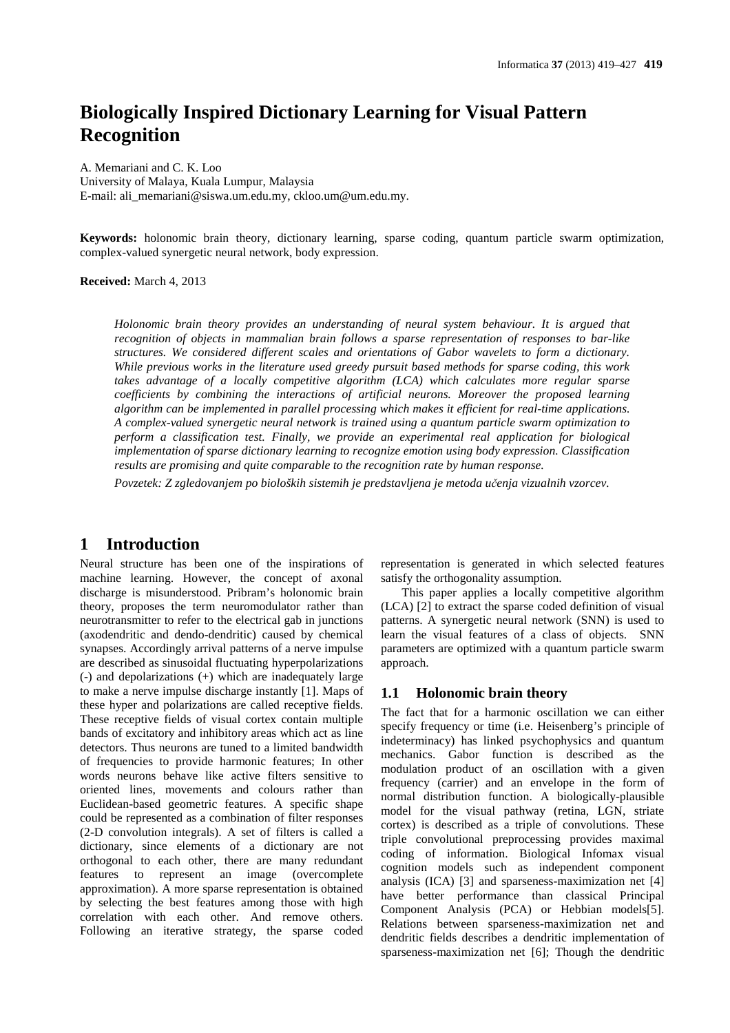# **Biologically Inspired Dictionary Learning for Visual Pattern Recognition**

A. Memariani and C. K. Loo University of Malaya, Kuala Lumpur, Malaysia E-mail: ali\_memariani@siswa.um.edu.my, ckloo.um@um.edu.my.

**Keywords:** holonomic brain theory, dictionary learning, sparse coding, quantum particle swarm optimization, complex-valued synergetic neural network, body expression.

**Received:** March 4, 2013

*Holonomic brain theory provides an understanding of neural system behaviour. It is argued that recognition of objects in mammalian brain follows a sparse representation of responses to bar-like structures. We considered different scales and orientations of Gabor wavelets to form a dictionary. While previous works in the literature used greedy pursuit based methods for sparse coding, this work takes advantage of a locally competitive algorithm (LCA) which calculates more regular sparse coefficients by combining the interactions of artificial neurons. Moreover the proposed learning algorithm can be implemented in parallel processing which makes it efficient for real-time applications. A complex-valued synergetic neural network is trained using a quantum particle swarm optimization to perform a classification test. Finally, we provide an experimental real application for biological implementation of sparse dictionary learning to recognize emotion using body expression. Classification results are promising and quite comparable to the recognition rate by human response.* 

*Povzetek: Z zgledovanjem po bioloških sistemih je predstavljena je metoda učenja vizualnih vzorcev.* 

# **1 Introduction**

Neural structure has been one of the inspirations of machine learning. However, the concept of axonal discharge is misunderstood. Pribram's holonomic brain theory, proposes the term neuromodulator rather than neurotransmitter to refer to the electrical gab in junctions (axodendritic and dendo-dendritic) caused by chemical synapses. Accordingly arrival patterns of a nerve impulse are described as sinusoidal fluctuating hyperpolarizations (-) and depolarizations (+) which are inadequately large to make a nerve impulse discharge instantly [1]. Maps of these hyper and polarizations are called receptive fields. These receptive fields of visual cortex contain multiple bands of excitatory and inhibitory areas which act as line detectors. Thus neurons are tuned to a limited bandwidth of frequencies to provide harmonic features; In other words neurons behave like active filters sensitive to oriented lines, movements and colours rather than Euclidean-based geometric features. A specific shape could be represented as a combination of filter responses (2-D convolution integrals). A set of filters is called a dictionary, since elements of a dictionary are not orthogonal to each other, there are many redundant features to represent an image (overcomplete approximation). A more sparse representation is obtained by selecting the best features among those with high correlation with each other. And remove others. Following an iterative strategy, the sparse coded

representation is generated in which selected features satisfy the orthogonality assumption.

This paper applies a locally competitive algorithm (LCA) [2] to extract the sparse coded definition of visual patterns. A synergetic neural network (SNN) is used to learn the visual features of a class of objects. SNN parameters are optimized with a quantum particle swarm approach.

#### **1.1 Holonomic brain theory**

The fact that for a harmonic oscillation we can either specify frequency or time (i.e. Heisenberg's principle of indeterminacy) has linked psychophysics and quantum mechanics. Gabor function is described as the modulation product of an oscillation with a given frequency (carrier) and an envelope in the form of normal distribution function. A biologically-plausible model for the visual pathway (retina, LGN, striate cortex) is described as a triple of convolutions. These triple convolutional preprocessing provides maximal coding of information. Biological Infomax visual cognition models such as independent component analysis (ICA) [3] and sparseness-maximization net [4] have better performance than classical Principal Component Analysis (PCA) or Hebbian models[5]. Relations between sparseness-maximization net and dendritic fields describes a dendritic implementation of sparseness-maximization net [6]; Though the dendritic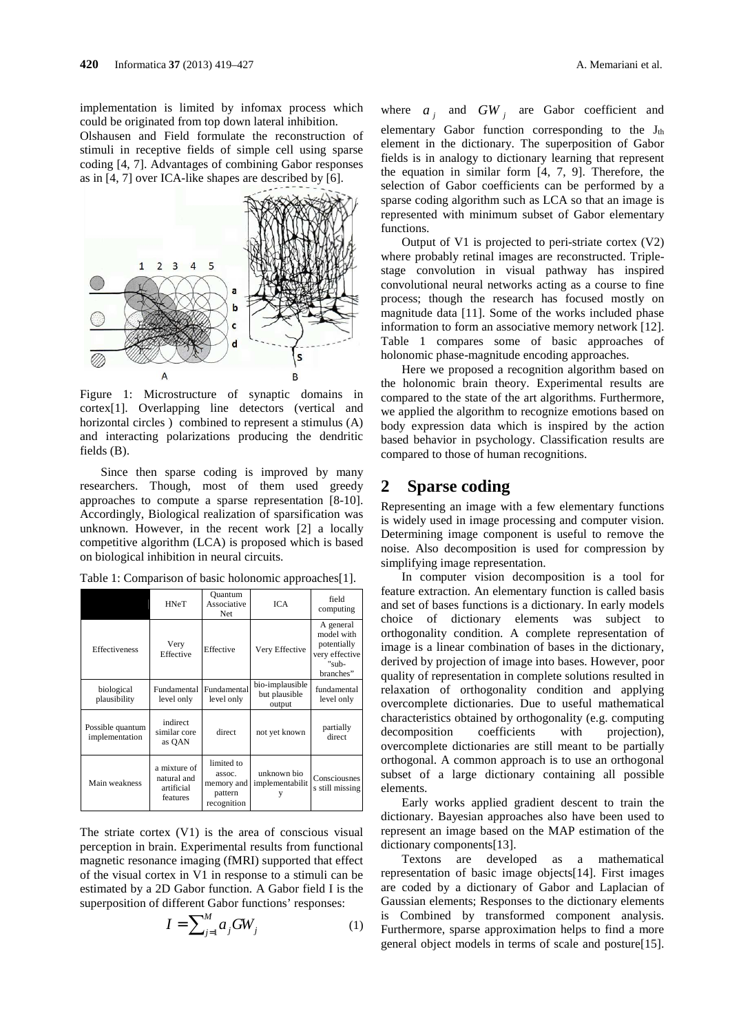implementation is limited by infomax process which could be originated from top down lateral inhibition.

Olshausen and Field formulate the reconstruction of stimuli in receptive fields of simple cell using sparse coding [4, 7]. Advantages of combining Gabor responses as in [4, 7] over ICA-like shapes are described by [6].



Figure 1: Microstructure of synaptic domains in cortex[1]. Overlapping line detectors (vertical and horizontal circles ) combined to represent a stimulus (A) and interacting polarizations producing the dendritic fields (B).

Since then sparse coding is improved by many researchers. Though, most of them used greedy approaches to compute a sparse representation [8-10]. Accordingly, Biological realization of sparsification was unknown. However, in the recent work [2] a locally competitive algorithm (LCA) is proposed which is based on biological inhibition in neural circuits.

|                                    | <b>HNeT</b>                                           | Ouantum<br>Associative<br>Net                                | <b>ICA</b>                                 | field<br>computing                                                             |
|------------------------------------|-------------------------------------------------------|--------------------------------------------------------------|--------------------------------------------|--------------------------------------------------------------------------------|
| Effectiveness                      | Very<br>Effective                                     | Effective                                                    | Very Effective                             | A general<br>model with<br>potentially<br>very effective<br>"sub-<br>branches" |
| biological<br>plausibility         | <b>Fundamental</b><br>level only                      | <b>Fundamental</b><br>level only                             | bio-implausible<br>but plausible<br>output | fundamental<br>level only                                                      |
| Possible quantum<br>implementation | indirect<br>similar core<br>as OAN                    | direct                                                       | not yet known                              | partially<br>direct                                                            |
| Main weakness                      | a mixture of<br>natural and<br>artificial<br>features | limited to<br>assoc.<br>memory and<br>pattern<br>recognition | unknown bio<br>implementabilit             | Consciousnes<br>s still missing                                                |

Table 1: Comparison of basic holonomic approaches[1].

The striate cortex (V1) is the area of conscious visual perception in brain. Experimental results from functional magnetic resonance imaging (fMRI) supported that effect of the visual cortex in V1 in response to a stimuli can be estimated by a 2D Gabor function. A Gabor field I is the superposition of different Gabor functions' responses:

$$
I = \sum_{j=1}^{M} a_j GW_j \tag{1}
$$

where  $a_j$  and  $GW_j$  are Gabor coefficient and elementary Gabor function corresponding to the  $J_{th}$ element in the dictionary. The superposition of Gabor fields is in analogy to dictionary learning that represent the equation in similar form [4, 7, 9]. Therefore, the selection of Gabor coefficients can be performed by a sparse coding algorithm such as LCA so that an image is represented with minimum subset of Gabor elementary functions.

Output of V1 is projected to peri-striate cortex (V2) where probably retinal images are reconstructed. Triplestage convolution in visual pathway has inspired convolutional neural networks acting as a course to fine process; though the research has focused mostly on magnitude data [11]. Some of the works included phase information to form an associative memory network [12]. Table 1 compares some of basic approaches of holonomic phase-magnitude encoding approaches.

Here we proposed a recognition algorithm based on the holonomic brain theory. Experimental results are compared to the state of the art algorithms. Furthermore, we applied the algorithm to recognize emotions based on body expression data which is inspired by the action based behavior in psychology. Classification results are compared to those of human recognitions.

# **2 Sparse coding**

Representing an image with a few elementary functions is widely used in image processing and computer vision. Determining image component is useful to remove the noise. Also decomposition is used for compression by simplifying image representation.

In computer vision decomposition is a tool for feature extraction. An elementary function is called basis and set of bases functions is a dictionary. In early models choice of dictionary elements was subject to orthogonality condition. A complete representation of image is a linear combination of bases in the dictionary, derived by projection of image into bases. However, poor quality of representation in complete solutions resulted in relaxation of orthogonality condition and applying overcomplete dictionaries. Due to useful mathematical characteristics obtained by orthogonality (e.g. computing decomposition coefficients with projection), overcomplete dictionaries are still meant to be partially orthogonal. A common approach is to use an orthogonal subset of a large dictionary containing all possible elements.

Early works applied gradient descent to train the dictionary. Bayesian approaches also have been used to represent an image based on the MAP estimation of the dictionary components[13].

Textons are developed as a mathematical representation of basic image objects[14]. First images are coded by a dictionary of Gabor and Laplacian of Gaussian elements; Responses to the dictionary elements is Combined by transformed component analysis. Furthermore, sparse approximation helps to find a more general object models in terms of scale and posture[15].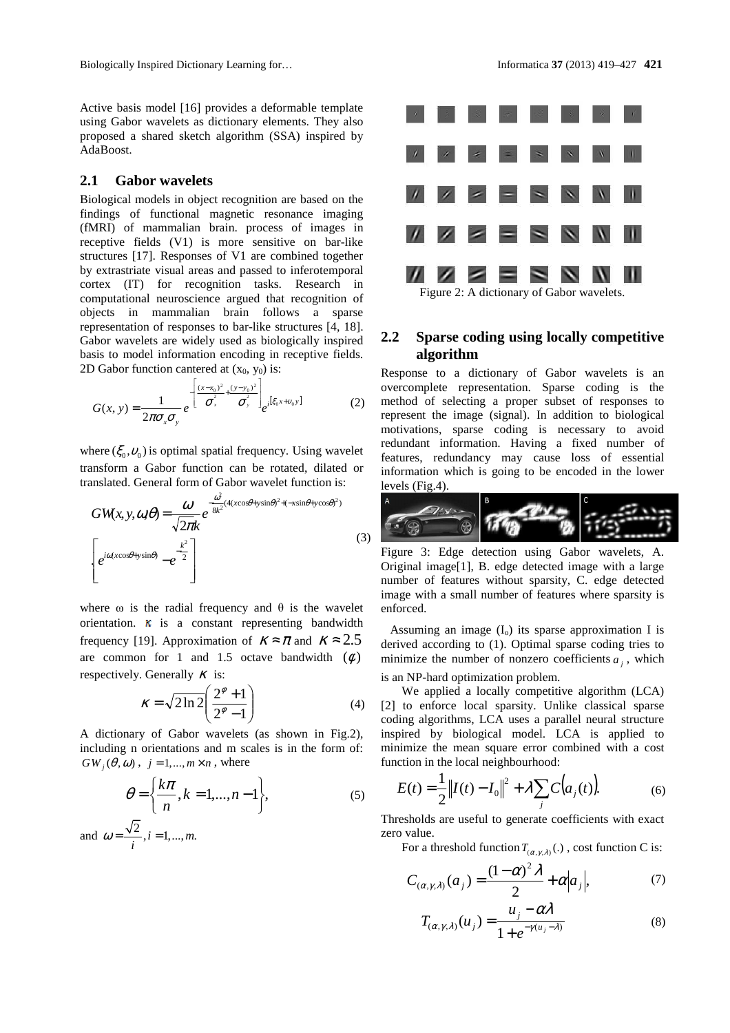Active basis model [16] provides a deformable template using Gabor wavelets as dictionary elements. They also proposed a shared sketch algorithm (SSA) inspired by AdaBoost.

#### **2.1 Gabor wavelets**

Biological models in object recognition are based on the findings of functional magnetic resonance imaging (fMRI) of mammalian brain. process of images in receptive fields (V1) is more sensitive on bar-like structures [17]. Responses of V1 are combined together by extrastriate visual areas and passed to inferotemporal cortex (IT) for recognition tasks. Research in computational neuroscience argued that recognition of objects in mammalian brain follows a sparse representation of responses to bar-like structures [4, 18]. Gabor wavelets are widely used as biologically inspired basis to model information encoding in receptive fields. 2D Gabor function cantered at  $(x_0, y_0)$  is:

$$
G(x, y) = \frac{1}{2\pi\sigma_x\sigma_y} e^{-\left[\frac{(x-x_0)^2}{\sigma_x^2} + \frac{(y-y_0)^2}{\sigma_y^2}\right]} e^{i[\xi_0x + v_0y]}
$$
(2)

where  $(\xi_0, v_0)$  is optimal spatial frequency. Using wavelet transform a Gabor function can be rotated, dilated or translated. General form of Gabor wavelet function is:

$$
GW(x, y, \alpha, \theta) = \frac{\omega}{\sqrt{2\pi k}} e^{-\frac{\alpha^2}{8k^2}(4(x\cos\theta + y\sin\theta)^2 + (-x\sin\theta + y\cos\theta)^2)}
$$
\n
$$
\left[ e^{i\alpha(x\cos\theta + y\sin\theta)} - e^{\frac{k^2}{2}} \right]
$$
\n(3)

where  $\omega$  is the radial frequency and  $\theta$  is the wavelet orientation.  $\kappa$  is a constant representing bandwidth frequency [19]. Approximation of  $K \approx \pi$  and  $K \approx 2.5$ are common for 1 and 1.5 octave bandwidth  $(\phi)$ respectively. Generally  $\kappa$  is:

$$
\kappa = \sqrt{2\ln 2} \left( \frac{2^{\phi} + 1}{2^{\phi} - 1} \right) \tag{4}
$$

A dictionary of Gabor wavelets (as shown in Fig.2), including n orientations and m scales is in the form of:  $GW$   $(\theta, \omega)$ ,  $j = 1, ..., m \times n$ , where

$$
\theta = \left\{ \frac{k\pi}{n}, k = 1, \dots, n-1 \right\},\tag{5}
$$

and  $\omega = \frac{\sqrt{2}}{i}, i = 1, ..., m$ .



#### **2.2 Sparse coding using locally competitive algorithm**

Response to a dictionary of Gabor wavelets is an overcomplete representation. Sparse coding is the method of selecting a proper subset of responses to represent the image (signal). In addition to biological motivations, sparse coding is necessary to avoid redundant information. Having a fixed number of features, redundancy may cause loss of essential information which is going to be encoded in the lower levels (Fig.4).



Figure 3: Edge detection using Gabor wavelets, A. Original image[1], B. edge detected image with a large number of features without sparsity, C. edge detected image with a small number of features where sparsity is enforced.

Assuming an image  $(I_0)$  its sparse approximation I is derived according to (1). Optimal sparse coding tries to minimize the number of nonzero coefficients  $a_j$ , which

is an NP-hard optimization problem.

We applied a locally competitive algorithm (LCA) [2] to enforce local sparsity. Unlike classical sparse coding algorithms, LCA uses a parallel neural structure inspired by biological model. LCA is applied to minimize the mean square error combined with a cost function in the local neighbourhood:

$$
E(t) = \frac{1}{2} ||I(t) - I_0||^2 + \lambda \sum_{j} C(a_j(t)).
$$
 (6)

Thresholds are useful to generate coefficients with exact zero value.

For a threshold function  $T_{(\alpha, \gamma, \lambda)}(.)$ , cost function C is:

$$
C_{(\alpha,\gamma,\lambda)}(a_j) = \frac{(1-\alpha)^2 \lambda}{2} + \alpha |a_j|,\tag{7}
$$

$$
T_{(\alpha,\gamma,\lambda)}(u_j) = \frac{u_j - \alpha\lambda}{1 + e^{-\gamma(u_j - \lambda)}}
$$
(8)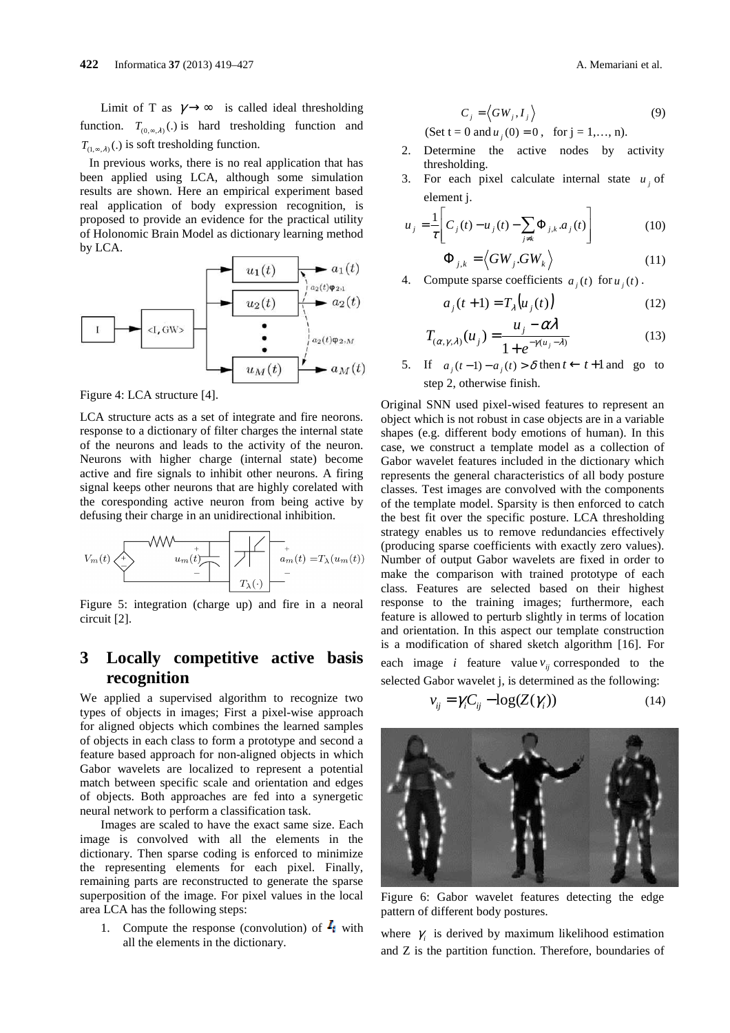Limit of T as  $\gamma \rightarrow \infty$  is called ideal thresholding function.  $T_{(0, \infty, \lambda)}(.)$  is hard tresholding function and  $T_{(1, \infty, \lambda)}(.)$  is soft tresholding function.

 In previous works, there is no real application that has been applied using LCA, although some simulation results are shown. Here an empirical experiment based real application of body expression recognition, is proposed to provide an evidence for the practical utility of Holonomic Brain Model as dictionary learning method by LCA.



Figure 4: LCA structure [4].

LCA structure acts as a set of integrate and fire neorons. response to a dictionary of filter charges the internal state of the neurons and leads to the activity of the neuron. Neurons with higher charge (internal state) become active and fire signals to inhibit other neurons. A firing signal keeps other neurons that are highly corelated with the coresponding active neuron from being active by defusing their charge in an unidirectional inhibition.

$$
V_m(t) \xleftarrow{\text{t}} V_m(t) \xleftarrow{\text{t}} V_{m}(t) \xrightarrow{\text{t}} V_{\lambda}(\cdot)
$$

Figure 5: integration (charge up) and fire in a neoral circuit [2].

# **3 Locally competitive active basis recognition**

We applied a supervised algorithm to recognize two types of objects in images; First a pixel-wise approach for aligned objects which combines the learned samples of objects in each class to form a prototype and second a feature based approach for non-aligned objects in which Gabor wavelets are localized to represent a potential match between specific scale and orientation and edges of objects. Both approaches are fed into a synergetic neural network to perform a classification task.

Images are scaled to have the exact same size. Each image is convolved with all the elements in the dictionary. Then sparse coding is enforced to minimize the representing elements for each pixel. Finally, remaining parts are reconstructed to generate the sparse superposition of the image. For pixel values in the local area LCA has the following steps:

1. Compute the response (convolution) of  $I_i$  with all the elements in the dictionary.

$$
C_j = \langle GW_j, I_j \rangle \tag{9}
$$
  
t = 0 and u (0) = 0 for i = 1, n

 $(\text{Set } t = 0 \text{ and } u_j(0) = 0, \text{ for } j = 1, ..., n).$ 

- 2. Determine the active nodes by activity thresholding.
- 3. For each pixel calculate internal state  $u_j$  of element j.

$$
u_j = \frac{1}{\tau} \left[ C_j(t) - u_j(t) - \sum_{j \neq k} \Phi_{j,k} a_j(t) \right]
$$
(10)

$$
\Phi_{j,k} = \langle GW_j . GW_k \rangle \tag{11}
$$

4. Compute sparse coefficients  $a_j(t)$  for  $u_j(t)$ .

$$
a_j(t+1) = T_{\lambda}\left(u_j(t)\right) \tag{12}
$$

$$
T_{(\alpha,\gamma,\lambda)}(u_j) = \frac{u_j - \alpha\lambda}{1 + e^{-\gamma(u_j - \lambda)}}
$$
(13)

5. If  $a_i(t-1) - a_i(t) > \delta$  then  $t \leftarrow t+1$  and go to step 2, otherwise finish.

Original SNN used pixel-wised features to represent an object which is not robust in case objects are in a variable shapes (e.g. different body emotions of human). In this case, we construct a template model as a collection of Gabor wavelet features included in the dictionary which represents the general characteristics of all body posture classes. Test images are convolved with the components of the template model. Sparsity is then enforced to catch the best fit over the specific posture. LCA thresholding strategy enables us to remove redundancies effectively (producing sparse coefficients with exactly zero values). Number of output Gabor wavelets are fixed in order to make the comparison with trained prototype of each class. Features are selected based on their highest response to the training images; furthermore, each feature is allowed to perturb slightly in terms of location and orientation. In this aspect our template construction is a modification of shared sketch algorithm [16]. For each image *i* feature value  $v_{ij}$  corresponded to the

selected Gabor wavelet j, is determined as the following:

$$
v_{ij} = \gamma_i C_{ij} - \log(Z(\gamma_i))
$$
\n(14)



Figure 6: Gabor wavelet features detecting the edge pattern of different body postures.

where  $\gamma$  is derived by maximum likelihood estimation and Z is the partition function. Therefore, boundaries of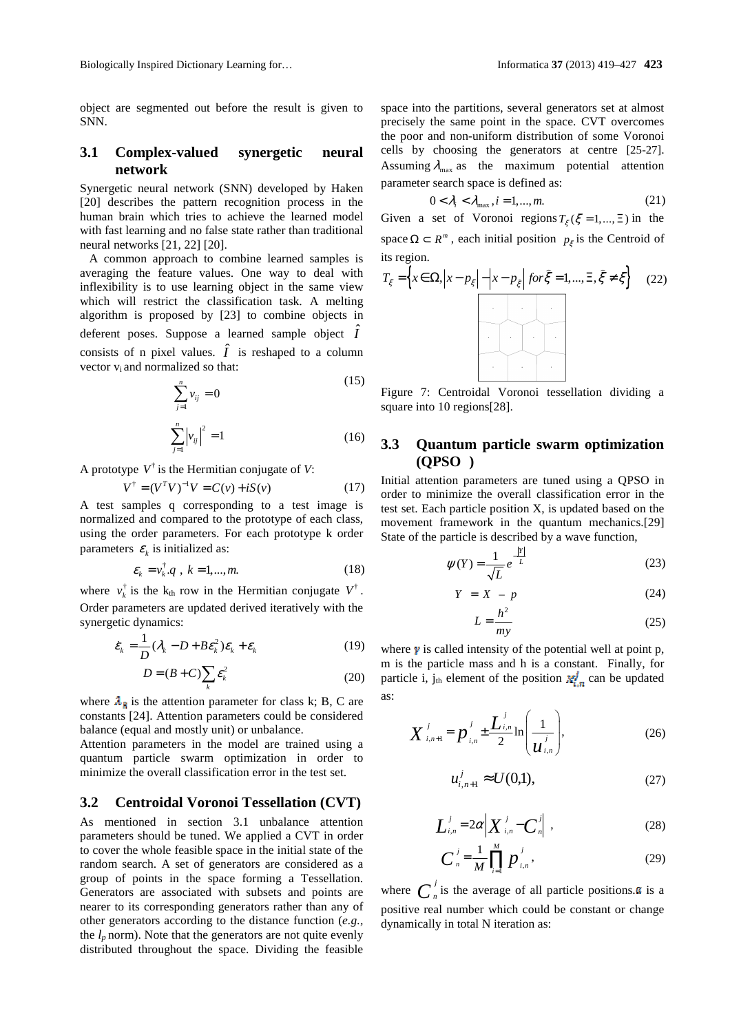object are segmented out before the result is given to SNN.

#### **3.1 Complex-valued synergetic neural network**

Synergetic neural network (SNN) developed by Haken [20] describes the pattern recognition process in the human brain which tries to achieve the learned model with fast learning and no false state rather than traditional neural networks [21, 22] [20].

 A common approach to combine learned samples is averaging the feature values. One way to deal with inflexibility is to use learning object in the same view which will restrict the classification task. A melting algorithm is proposed by [23] to combine objects in deferent poses. Suppose a learned sample object  $\hat{I}$ consists of n pixel values.  $\hat{I}$  is reshaped to a column vector vi and normalized so that:

$$
\sum_{j=1}^{n} v_{ij} = 0
$$
\n(15)\n
$$
\sum_{j=1}^{n} |v_{ij}|^2 = 1
$$
\n(16)

A prototype  $V^{\dagger}$  is the Hermitian conjugate of *V*:

$$
V^{\dagger} = (V^T V)^{-1} V = C(v) + iS(v)
$$
 (17)

A test samples q corresponding to a test image is normalized and compared to the prototype of each class, using the order parameters. For each prototype k order parameters  $\varepsilon_k$  is initialized as:

$$
\varepsilon_k = v_k^{\dagger} q \, , \, k = 1, \dots, m. \tag{18}
$$

where  $v_k^{\dagger}$  is the k<sub>th</sub> row in the Hermitian conjugate  $V^{\dagger}$ . Order parameters are updated derived iteratively with the synergetic dynamics:

$$
\dot{\varepsilon}_k = \frac{1}{D} (\lambda_k - D + B \varepsilon_k^2) \varepsilon_k + \varepsilon_k \tag{19}
$$

$$
D = (B + C) \sum_{k} \varepsilon_k^2
$$
 (20)

where  $\lambda_{\hat{B}}$  is the attention parameter for class k; B, C are constants [24]. Attention parameters could be considered balance (equal and mostly unit) or unbalance.

Attention parameters in the model are trained using a quantum particle swarm optimization in order to minimize the overall classification error in the test set.

#### **3.2 Centroidal Voronoi Tessellation (CVT)**

As mentioned in section 3.1 unbalance attention parameters should be tuned. We applied a CVT in order to cover the whole feasible space in the initial state of the random search. A set of generators are considered as a group of points in the space forming a Tessellation. Generators are associated with subsets and points are nearer to its corresponding generators rather than any of other generators according to the distance function (*e.g.,* the  $l_p$  norm). Note that the generators are not quite evenly distributed throughout the space. Dividing the feasible

space into the partitions, several generators set at almost precisely the same point in the space. CVT overcomes the poor and non-uniform distribution of some Voronoi cells by choosing the generators at centre [25-27]. Assuming  $\lambda_{\text{max}}$  as the maximum potential attention parameter search space is defined as:

$$
0 < \lambda_i < \lambda_{\text{max}} \,, i = 1, \dots, m. \tag{21}
$$

Given a set of Voronoi regions  $T<sub>\varepsilon</sub> (\xi = 1,..., \Xi)$  in the space  $\Omega \subset R^m$ , each initial position  $p_{\xi}$  is the Centroid of its region.

$$
T_{\xi} = \left\{ x \in \Omega, \left| x - p_{\xi} \right| - \left| x - p_{\xi} \right| \text{ for } \hat{\xi} = 1, \dots, \Xi, \hat{\xi} \neq \xi \right\}
$$
 (22)

Figure 7: Centroidal Voronoi tessellation dividing a square into 10 regions [28].

## **3.3 Quantum particle swarm optimization (QPSO )**

Initial attention parameters are tuned using a QPSO in order to minimize the overall classification error in the test set. Each particle position X, is updated based on the movement framework in the quantum mechanics.[29] State of the particle is described by a wave function,

$$
\psi(Y) = \frac{1}{\sqrt{L}} e^{-\frac{|Y|}{L}}
$$
 (23)

$$
Y = X - p \tag{24}
$$

$$
L = \frac{h^2}{my} \tag{25}
$$

where  $\gamma$  is called intensity of the potential well at point p, m is the particle mass and h is a constant. Finally, for particle i, j<sub>th</sub> element of the position  $x_{i,n}^j$  can be updated as:

$$
X_{i,n+1}^{j} = p_{i,n}^{j} \pm \frac{L_{i,n}^{j}}{2} \ln\left(\frac{1}{u_{i,n}^{j}}\right),
$$
 (26)

$$
u_{i,n+1}^j \approx U(0,1), \tag{27}
$$

$$
\left| \int_{-i,n}^{j} = 2\alpha \middle| X \right|_{i,n}^{j} - \left| \int_{-n}^{j} \right| , \tag{28}
$$

$$
C_{n}^{j} = \frac{1}{M} \prod_{i=1}^{M} p_{i,n}^{j},
$$
 (29)

where  $C_n^j$  is the average of all particle positions.  $\alpha$  is a positive real number which could be constant or change dynamically in total N iteration as: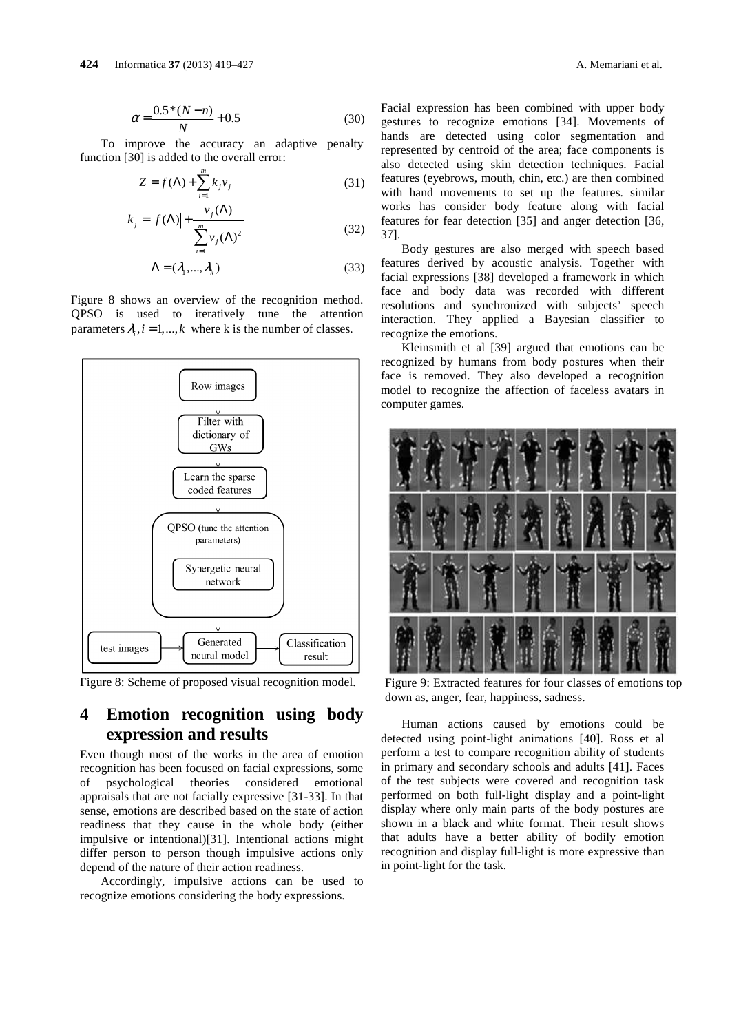To improve the accuracy an adaptive penalty function [30] is added to the overall error:

$$
Z = f(\Lambda) + \sum_{i=1}^{m} k_j v_j
$$
 (31)

$$
k_j = |f(\Lambda)| + \frac{v_j(\Lambda)}{\sum_{i=1}^m v_j(\Lambda)^2}
$$
 (32)

$$
\Lambda = (\lambda_1, ..., \lambda_k) \tag{33}
$$

Figure 8 shows an overview of the recognition method. QPSO is used to iteratively tune the attention parameters  $\lambda_i$ ,  $i = 1, ..., k$  where k is the number of classes.



Figure 8: Scheme of proposed visual recognition model.

# **4 Emotion recognition using body expression and results**

Even though most of the works in the area of emotion recognition has been focused on facial expressions, some of psychological theories considered emotional appraisals that are not facially expressive [31-33]. In that sense, emotions are described based on the state of action readiness that they cause in the whole body (either impulsive or intentional)[31]. Intentional actions might differ person to person though impulsive actions only depend of the nature of their action readiness.

Accordingly, impulsive actions can be used to recognize emotions considering the body expressions.

Facial expression has been combined with upper body gestures to recognize emotions [34]. Movements of hands are detected using color segmentation and represented by centroid of the area; face components is also detected using skin detection techniques. Facial features (eyebrows, mouth, chin, etc.) are then combined with hand movements to set up the features. similar works has consider body feature along with facial features for fear detection [35] and anger detection [36, 37].

Body gestures are also merged with speech based features derived by acoustic analysis. Together with facial expressions [38] developed a framework in which face and body data was recorded with different resolutions and synchronized with subjects' speech interaction. They applied a Bayesian classifier to recognize the emotions.

Kleinsmith et al [39] argued that emotions can be recognized by humans from body postures when their face is removed. They also developed a recognition model to recognize the affection of faceless avatars in computer games.



Figure 9: Extracted features for four classes of emotions top down as, anger, fear, happiness, sadness.

Human actions caused by emotions could be detected using point-light animations [40]. Ross et al perform a test to compare recognition ability of students in primary and secondary schools and adults [41]. Faces of the test subjects were covered and recognition task performed on both full-light display and a point-light display where only main parts of the body postures are shown in a black and white format. Their result shows that adults have a better ability of bodily emotion recognition and display full-light is more expressive than in point-light for the task.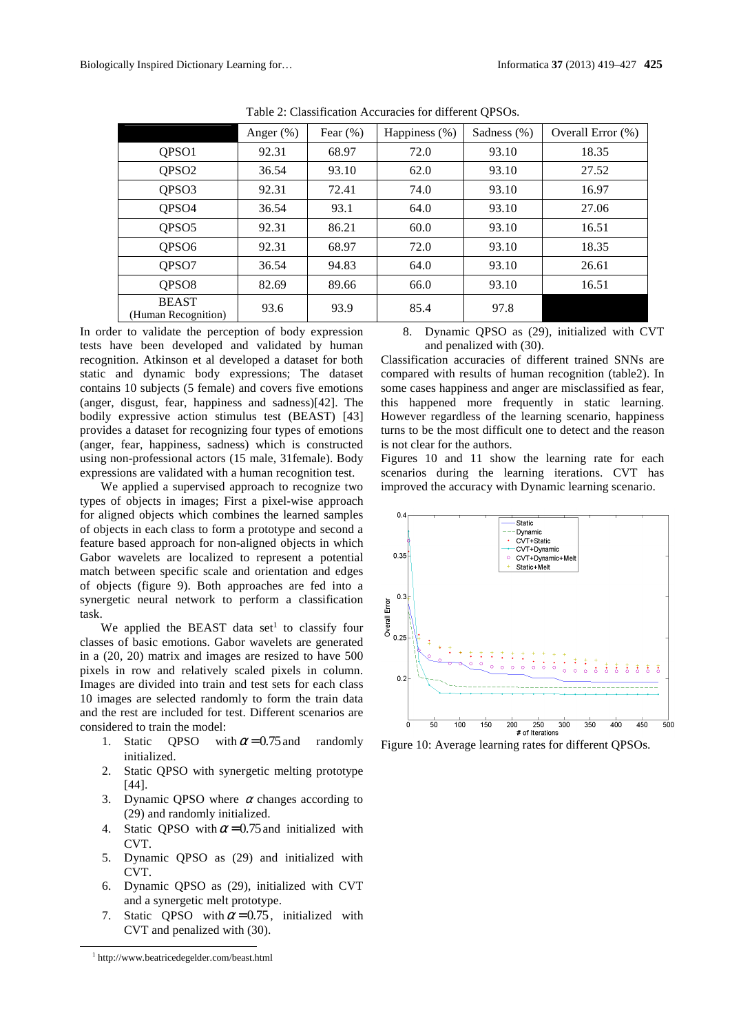|                                     | Anger $(\%)$ | Fear $(\%)$ | Happiness $(\%)$ | Sadness (%) | Overall Error $(\%)$ |
|-------------------------------------|--------------|-------------|------------------|-------------|----------------------|
| QPSO1                               | 92.31        | 68.97       | 72.0             | 93.10       | 18.35                |
| QPSO <sub>2</sub>                   | 36.54        | 93.10       | 62.0             | 93.10       | 27.52                |
| QPSO <sub>3</sub>                   | 92.31        | 72.41       | 74.0             | 93.10       | 16.97                |
| QPSO <sub>4</sub>                   | 36.54        | 93.1        | 64.0             | 93.10       | 27.06                |
| QPSO <sub>5</sub>                   | 92.31        | 86.21       | 60.0             | 93.10       | 16.51                |
| QPSO <sub>6</sub>                   | 92.31        | 68.97       | 72.0             | 93.10       | 18.35                |
| QPSO7                               | 36.54        | 94.83       | 64.0             | 93.10       | 26.61                |
| QPSO <sub>8</sub>                   | 82.69        | 89.66       | 66.0             | 93.10       | 16.51                |
| <b>BEAST</b><br>(Human Recognition) | 93.6         | 93.9        | 85.4             | 97.8        |                      |

Table 2: Classification Accuracies for different QPSOs.

In order to validate the perception of body expression tests have been developed and validated by human recognition. Atkinson et al developed a dataset for both static and dynamic body expressions; The dataset contains 10 subjects (5 female) and covers five emotions (anger, disgust, fear, happiness and sadness)[42]. The bodily expressive action stimulus test (BEAST) [43] provides a dataset for recognizing four types of emotions (anger, fear, happiness, sadness) which is constructed using non-professional actors (15 male, 31female). Body expressions are validated with a human recognition test.

We applied a supervised approach to recognize two types of objects in images; First a pixel-wise approach for aligned objects which combines the learned samples of objects in each class to form a prototype and second a feature based approach for non-aligned objects in which Gabor wavelets are localized to represent a potential match between specific scale and orientation and edges of objects (figure 9). Both approaches are fed into a synergetic neural network to perform a classification task.

We applied the BEAST data set<sup>1</sup> to classify four classes of basic emotions. Gabor wavelets are generated in a (20, 20) matrix and images are resized to have 500 pixels in row and relatively scaled pixels in column. Images are divided into train and test sets for each class 10 images are selected randomly to form the train data and the rest are included for test. Different scenarios are considered to train the model:

- 1. Static OPSO with  $\alpha = 0.75$  and randomly initialized.
- 2. Static QPSO with synergetic melting prototype [44].
- 3. Dynamic QPSO where  $\alpha$  changes according to (29) and randomly initialized.
- 4. Static OPSO with  $\alpha = 0.75$  and initialized with CVT.
- 5. Dynamic QPSO as (29) and initialized with CVT.
- 6. Dynamic QPSO as (29), initialized with CVT and a synergetic melt prototype.
- 7. Static OPSO with  $\alpha = 0.75$ , initialized with CVT and penalized with (30).

1 http://www.beatricedegelder.com/beast.html

-

8. Dynamic QPSO as (29), initialized with CVT and penalized with (30).

Classification accuracies of different trained SNNs are compared with results of human recognition (table2). In some cases happiness and anger are misclassified as fear, this happened more frequently in static learning. However regardless of the learning scenario, happiness turns to be the most difficult one to detect and the reason is not clear for the authors.

Figures 10 and 11 show the learning rate for each scenarios during the learning iterations. CVT has improved the accuracy with Dynamic learning scenario.



Figure 10: Average learning rates for different QPSOs.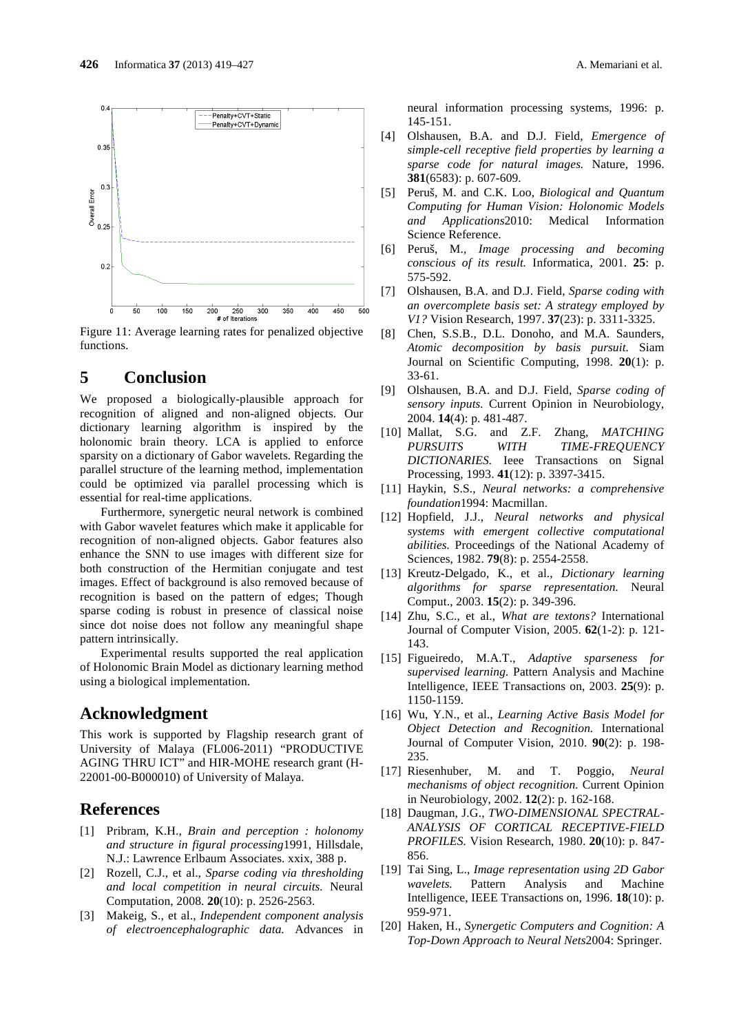

300

 $400$ 

 $350$ 

 $450$ 

 $\frac{1}{500}$ 

 $rac{1}{\sqrt{6}}$   $rac{1}{\sqrt{6}}$   $rac{1}{\sqrt{6}}$   $rac{1}{\sqrt{6}}$   $rac{200}{\sqrt{6}}$   $rac{250}{\sqrt{6}}$   $rac{300}{\sqrt{6}}$   $rac{300}{\sqrt{6}}$   $rac{400}{\sqrt{6}}$   $rac{400}{\sqrt{6}}$   $rac{400}{\sqrt{6}}$   $rac{400}{\sqrt{6}}$   $rac{1}{\sqrt{6}}$   $rac{200}{\sqrt{6}}$   $rac{200}{\sqrt{6}}$   $rac{200}{\sqrt{6}}$   $rac{200}{$ functions.

## **5 Conclusion**

 $\frac{1}{50}$ 

 $\frac{1}{100}$ 

 $150$ 

We proposed a biologically-plausible approach for recognition of aligned and non-aligned objects. Our dictionary learning algorithm is inspired by the holonomic brain theory. LCA is applied to enforce sparsity on a dictionary of Gabor wavelets. Regarding the parallel structure of the learning method, implementation could be optimized via parallel processing which is essential for real-time applications.

Furthermore, synergetic neural network is combined with Gabor wavelet features which make it applicable for recognition of non-aligned objects. Gabor features also enhance the SNN to use images with different size for both construction of the Hermitian conjugate and test images. Effect of background is also removed because of recognition is based on the pattern of edges; Though sparse coding is robust in presence of classical noise since dot noise does not follow any meaningful shape pattern intrinsically.

Experimental results supported the real application of Holonomic Brain Model as dictionary learning method using a biological implementation.

# **Acknowledgment**

This work is supported by Flagship research grant of University of Malaya (FL006-2011) "PRODUCTIVE AGING THRU ICT" and HIR-MOHE research grant (H-22001-00-B000010) of University of Malaya.

## **References**

- [1] Pribram, K.H., *Brain and perception : holonomy and structure in figural processing*1991, Hillsdale, N.J.: Lawrence Erlbaum Associates. xxix, 388 p.
- [2] Rozell, C.J., et al., *Sparse coding via thresholding and local competition in neural circuits.* Neural Computation, 2008. **20**(10): p. 2526-2563.
- [3] Makeig, S., et al., *Independent component analysis of electroencephalographic data.* Advances in

neural information processing systems, 1996: p. 145-151.

- [4] Olshausen, B.A. and D.J. Field, *Emergence of simple-cell receptive field properties by learning a sparse code for natural images.* Nature, 1996. **381**(6583): p. 607-609.
- [5] Peruš, M. and C.K. Loo, *Biological and Quantum Computing for Human Vision: Holonomic Models and Applications*2010: Medical Information Science Reference.
- [6] Peruš, M., *Image processing and becoming conscious of its result.* Informatica, 2001. **25**: p. 575-592.
- [7] Olshausen, B.A. and D.J. Field, *Sparse coding with an overcomplete basis set: A strategy employed by V1?* Vision Research, 1997. **37**(23): p. 3311-3325.
- [8] Chen, S.S.B., D.L. Donoho, and M.A. Saunders, *Atomic decomposition by basis pursuit.* Siam Journal on Scientific Computing, 1998. **20**(1): p. 33-61.
- [9] Olshausen, B.A. and D.J. Field, *Sparse coding of sensory inputs.* Current Opinion in Neurobiology, 2004. **14**(4): p. 481-487.
- [10] Mallat, S.G. and Z.F. Zhang, *MATCHING PURSUITS WITH TIME-FREQUENCY DICTIONARIES.* Ieee Transactions on Signal Processing, 1993. **41**(12): p. 3397-3415.
- [11] Haykin, S.S., *Neural networks: a comprehensive foundation*1994: Macmillan.
- [12] Hopfield, J.J., *Neural networks and physical systems with emergent collective computational abilities.* Proceedings of the National Academy of Sciences, 1982. **79**(8): p. 2554-2558.
- [13] Kreutz-Delgado, K., et al., *Dictionary learning algorithms for sparse representation.* Neural Comput., 2003. **15**(2): p. 349-396.
- [14] Zhu, S.C., et al., *What are textons?* International Journal of Computer Vision, 2005. **62**(1-2): p. 121- 143.
- [15] Figueiredo, M.A.T., *Adaptive sparseness for supervised learning.* Pattern Analysis and Machine Intelligence, IEEE Transactions on, 2003. **25**(9): p. 1150-1159.
- [16] Wu, Y.N., et al., *Learning Active Basis Model for Object Detection and Recognition.* International Journal of Computer Vision, 2010. **90**(2): p. 198- 235.
- [17] Riesenhuber, M. and T. Poggio, *Neural mechanisms of object recognition.* Current Opinion in Neurobiology, 2002. **12**(2): p. 162-168.
- [18] Daugman, J.G., *TWO-DIMENSIONAL SPECTRAL-ANALYSIS OF CORTICAL RECEPTIVE-FIELD PROFILES.* Vision Research, 1980. **20**(10): p. 847- 856.
- [19] Tai Sing, L., *Image representation using 2D Gabor wavelets.* Pattern Analysis and Machine Intelligence, IEEE Transactions on, 1996. **18**(10): p. 959-971.
- [20] Haken, H., *Synergetic Computers and Cognition: A Top-Down Approach to Neural Nets*2004: Springer.